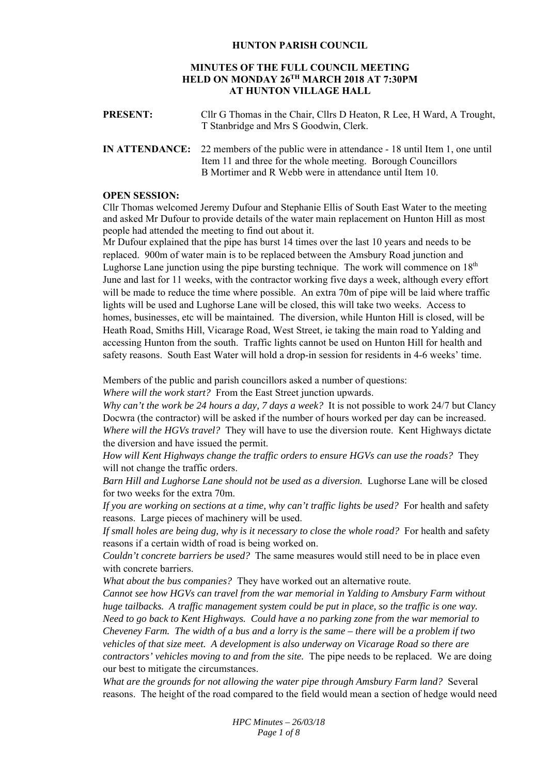### **HUNTON PARISH COUNCIL**

## **MINUTES OF THE FULL COUNCIL MEETING HELD ON MONDAY 26TH MARCH 2018 AT 7:30PM AT HUNTON VILLAGE HALL**

| <b>PRESENT:</b> | Cllr G Thomas in the Chair, Cllrs D Heaton, R Lee, H Ward, A Trought,<br>T Stanbridge and Mrs S Goodwin, Clerk.                                                                                                    |
|-----------------|--------------------------------------------------------------------------------------------------------------------------------------------------------------------------------------------------------------------|
|                 | IN ATTENDANCE: 22 members of the public were in attendance - 18 until Item 1, one until<br>Item 11 and three for the whole meeting. Borough Councillors<br>B Mortimer and R Webb were in attendance until Item 10. |

### **OPEN SESSION:**

Cllr Thomas welcomed Jeremy Dufour and Stephanie Ellis of South East Water to the meeting and asked Mr Dufour to provide details of the water main replacement on Hunton Hill as most people had attended the meeting to find out about it.

Mr Dufour explained that the pipe has burst 14 times over the last 10 years and needs to be replaced. 900m of water main is to be replaced between the Amsbury Road junction and Lughorse Lane junction using the pipe bursting technique. The work will commence on  $18<sup>th</sup>$ June and last for 11 weeks, with the contractor working five days a week, although every effort will be made to reduce the time where possible. An extra 70m of pipe will be laid where traffic lights will be used and Lughorse Lane will be closed, this will take two weeks. Access to homes, businesses, etc will be maintained. The diversion, while Hunton Hill is closed, will be Heath Road, Smiths Hill, Vicarage Road, West Street, ie taking the main road to Yalding and accessing Hunton from the south. Traffic lights cannot be used on Hunton Hill for health and safety reasons. South East Water will hold a drop-in session for residents in 4-6 weeks' time.

Members of the public and parish councillors asked a number of questions:

*Where will the work start?* From the East Street junction upwards.

*Why can't the work be 24 hours a day, 7 days a week?* It is not possible to work 24/7 but Clancy Docwra (the contractor) will be asked if the number of hours worked per day can be increased. *Where will the HGVs travel?* They will have to use the diversion route. Kent Highways dictate the diversion and have issued the permit.

*How will Kent Highways change the traffic orders to ensure HGVs can use the roads?* They will not change the traffic orders.

*Barn Hill and Lughorse Lane should not be used as a diversion.* Lughorse Lane will be closed for two weeks for the extra 70m.

*If you are working on sections at a time, why can't traffic lights be used?* For health and safety reasons. Large pieces of machinery will be used.

*If small holes are being dug, why is it necessary to close the whole road?* For health and safety reasons if a certain width of road is being worked on.

*Couldn't concrete barriers be used?* The same measures would still need to be in place even with concrete barriers.

*What about the bus companies?* They have worked out an alternative route.

*Cannot see how HGVs can travel from the war memorial in Yalding to Amsbury Farm without huge tailbacks. A traffic management system could be put in place, so the traffic is one way. Need to go back to Kent Highways. Could have a no parking zone from the war memorial to Cheveney Farm. The width of a bus and a lorry is the same – there will be a problem if two vehicles of that size meet. A development is also underway on Vicarage Road so there are contractors' vehicles moving to and from the site.* The pipe needs to be replaced. We are doing our best to mitigate the circumstances.

*What are the grounds for not allowing the water pipe through Amsbury Farm land?* Several reasons. The height of the road compared to the field would mean a section of hedge would need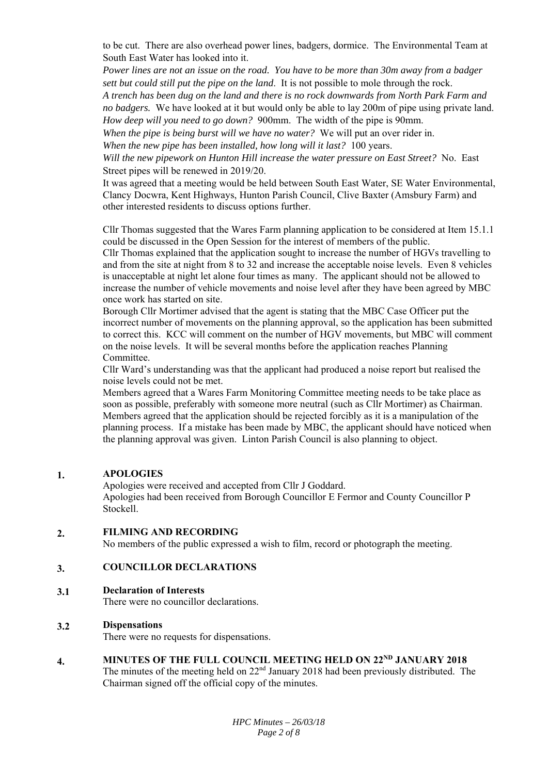to be cut. There are also overhead power lines, badgers, dormice. The Environmental Team at South East Water has looked into it.

*Power lines are not an issue on the road. You have to be more than 30m away from a badger sett but could still put the pipe on the land*. It is not possible to mole through the rock.

*A trench has been dug on the land and there is no rock downwards from North Park Farm and no badgers.* We have looked at it but would only be able to lay 200m of pipe using private land. *How deep will you need to go down?* 900mm. The width of the pipe is 90mm.

*When the pipe is being burst will we have no water?* We will put an over rider in.

*When the new pipe has been installed, how long will it last?* 100 years.

*Will the new pipework on Hunton Hill increase the water pressure on East Street?* No. East Street pipes will be renewed in 2019/20.

It was agreed that a meeting would be held between South East Water, SE Water Environmental, Clancy Docwra, Kent Highways, Hunton Parish Council, Clive Baxter (Amsbury Farm) and other interested residents to discuss options further.

Cllr Thomas suggested that the Wares Farm planning application to be considered at Item 15.1.1 could be discussed in the Open Session for the interest of members of the public.

Cllr Thomas explained that the application sought to increase the number of HGVs travelling to and from the site at night from 8 to 32 and increase the acceptable noise levels. Even 8 vehicles is unacceptable at night let alone four times as many. The applicant should not be allowed to increase the number of vehicle movements and noise level after they have been agreed by MBC once work has started on site.

Borough Cllr Mortimer advised that the agent is stating that the MBC Case Officer put the incorrect number of movements on the planning approval, so the application has been submitted to correct this. KCC will comment on the number of HGV movements, but MBC will comment on the noise levels. It will be several months before the application reaches Planning Committee.

Cllr Ward's understanding was that the applicant had produced a noise report but realised the noise levels could not be met.

Members agreed that a Wares Farm Monitoring Committee meeting needs to be take place as soon as possible, preferably with someone more neutral (such as Cllr Mortimer) as Chairman. Members agreed that the application should be rejected forcibly as it is a manipulation of the planning process. If a mistake has been made by MBC, the applicant should have noticed when the planning approval was given. Linton Parish Council is also planning to object.

#### **1. APOLOGIES**

Apologies were received and accepted from Cllr J Goddard. Apologies had been received from Borough Councillor E Fermor and County Councillor P Stockell.

#### **2. FILMING AND RECORDING**

No members of the public expressed a wish to film, record or photograph the meeting.

#### **3. COUNCILLOR DECLARATIONS**

#### **3.1 Declaration of Interests**

There were no councillor declarations.

#### **3.2 Dispensations**

There were no requests for dispensations.

**4.**  MINUTES OF THE FULL COUNCIL MEETING HELD ON 22<sup>ND</sup> JANUARY 2018

The minutes of the meeting held on  $22<sup>nd</sup>$  January 2018 had been previously distributed. The Chairman signed off the official copy of the minutes.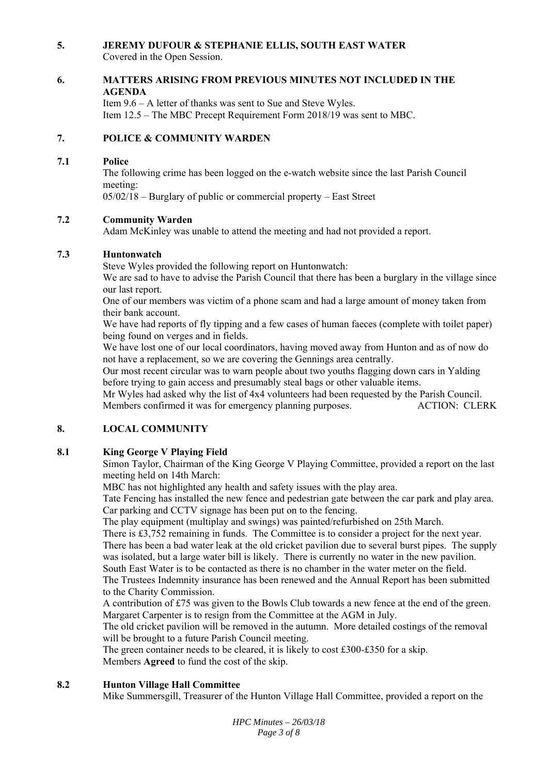#### **5. JEREMY DUFOUR & STEPHANIE ELLIS, SOUTH EAST WATER**

Covered in the Open Session.

#### **6. MATTERS ARISING FROM PREVIOUS MINUTES NOT INCLUDED IN THE AGENDA**

Item 9.6 – A letter of thanks was sent to Sue and Steve Wyles. Item 12.5 – The MBC Precept Requirement Form 2018/19 was sent to MBC.

#### **7. POLICE & COMMUNITY WARDEN**

#### **7.1 Police**

The following crime has been logged on the e-watch website since the last Parish Council meeting:

05/02/18 – Burglary of public or commercial property – East Street

#### **7.2 Community Warden**

Adam McKinley was unable to attend the meeting and had not provided a report.

#### **7.3 Huntonwatch**

Steve Wyles provided the following report on Huntonwatch:

We are sad to have to advise the Parish Council that there has been a burglary in the village since our last report.

One of our members was victim of a phone scam and had a large amount of money taken from their bank account.

We have had reports of fly tipping and a few cases of human faeces (complete with toilet paper) being found on verges and in fields.

We have lost one of our local coordinators, having moved away from Hunton and as of now do not have a replacement, so we are covering the Gennings area centrally.

Our most recent circular was to warn people about two youths flagging down cars in Yalding before trying to gain access and presumably steal bags or other valuable items.

Mr Wyles had asked why the list of 4x4 volunteers had been requested by the Parish Council. Members confirmed it was for emergency planning purposes. ACTION: CLERK

#### **8. LOCAL COMMUNITY**

#### **8.1 King George V Playing Field**

Simon Taylor, Chairman of the King George V Playing Committee, provided a report on the last meeting held on 14th March:

MBC has not highlighted any health and safety issues with the play area.

Tate Fencing has installed the new fence and pedestrian gate between the car park and play area. Car parking and CCTV signage has been put on to the fencing.

The play equipment (multiplay and swings) was painted/refurbished on 25th March.

There is £3,752 remaining in funds. The Committee is to consider a project for the next year. There has been a bad water leak at the old cricket pavilion due to several burst pipes. The supply was isolated, but a large water bill is likely. There is currently no water in the new pavilion. South East Water is to be contacted as there is no chamber in the water meter on the field.

The Trustees Indemnity insurance has been renewed and the Annual Report has been submitted to the Charity Commission.

A contribution of £75 was given to the Bowls Club towards a new fence at the end of the green. Margaret Carpenter is to resign from the Committee at the AGM in July.

The old cricket pavilion will be removed in the autumn. More detailed costings of the removal will be brought to a future Parish Council meeting.

The green container needs to be cleared, it is likely to cost £300-£350 for a skip. Members **Agreed** to fund the cost of the skip.

#### **8.2 Hunton Village Hall Committee**

Mike Summersgill, Treasurer of the Hunton Village Hall Committee, provided a report on the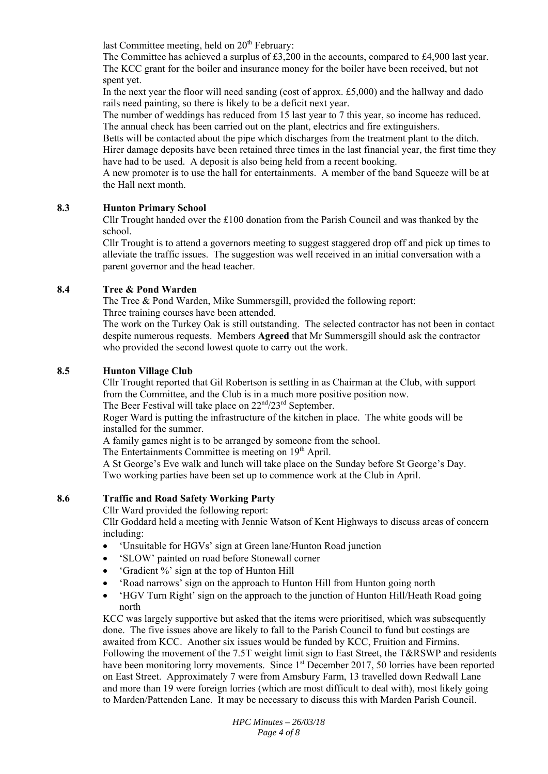last Committee meeting, held on 20<sup>th</sup> February:

The Committee has achieved a surplus of £3,200 in the accounts, compared to £4,900 last year. The KCC grant for the boiler and insurance money for the boiler have been received, but not spent yet.

In the next year the floor will need sanding (cost of approx. £5,000) and the hallway and dado rails need painting, so there is likely to be a deficit next year.

The number of weddings has reduced from 15 last year to 7 this year, so income has reduced. The annual check has been carried out on the plant, electrics and fire extinguishers.

Betts will be contacted about the pipe which discharges from the treatment plant to the ditch. Hirer damage deposits have been retained three times in the last financial year, the first time they have had to be used. A deposit is also being held from a recent booking.

A new promoter is to use the hall for entertainments. A member of the band Squeeze will be at the Hall next month.

#### **8.3 Hunton Primary School**

Cllr Trought handed over the £100 donation from the Parish Council and was thanked by the school.

Cllr Trought is to attend a governors meeting to suggest staggered drop off and pick up times to alleviate the traffic issues. The suggestion was well received in an initial conversation with a parent governor and the head teacher.

#### **8.4 Tree & Pond Warden**

The Tree & Pond Warden, Mike Summersgill, provided the following report: Three training courses have been attended.

The work on the Turkey Oak is still outstanding. The selected contractor has not been in contact despite numerous requests. Members **Agreed** that Mr Summersgill should ask the contractor who provided the second lowest quote to carry out the work.

#### **8.5 Hunton Village Club**

Cllr Trought reported that Gil Robertson is settling in as Chairman at the Club, with support from the Committee, and the Club is in a much more positive position now.

The Beer Festival will take place on  $22<sup>nd</sup>/23<sup>rd</sup>$  September.

Roger Ward is putting the infrastructure of the kitchen in place. The white goods will be installed for the summer.

A family games night is to be arranged by someone from the school.

The Entertainments Committee is meeting on  $19<sup>th</sup>$  April.

A St George's Eve walk and lunch will take place on the Sunday before St George's Day. Two working parties have been set up to commence work at the Club in April.

#### **8.6 Traffic and Road Safety Working Party**

Cllr Ward provided the following report:

Cllr Goddard held a meeting with Jennie Watson of Kent Highways to discuss areas of concern including:

- 'Unsuitable for HGVs' sign at Green lane/Hunton Road junction
- 'SLOW' painted on road before Stonewall corner
- 'Gradient %' sign at the top of Hunton Hill
- 'Road narrows' sign on the approach to Hunton Hill from Hunton going north
- 'HGV Turn Right' sign on the approach to the junction of Hunton Hill/Heath Road going north

KCC was largely supportive but asked that the items were prioritised, which was subsequently done. The five issues above are likely to fall to the Parish Council to fund but costings are awaited from KCC. Another six issues would be funded by KCC, Fruition and Firmins. Following the movement of the 7.5T weight limit sign to East Street, the T&RSWP and residents have been monitoring lorry movements. Since 1<sup>st</sup> December 2017, 50 lorries have been reported on East Street. Approximately 7 were from Amsbury Farm, 13 travelled down Redwall Lane and more than 19 were foreign lorries (which are most difficult to deal with), most likely going to Marden/Pattenden Lane. It may be necessary to discuss this with Marden Parish Council.

> *HPC Minutes – 26/03/18 Page 4 of 8*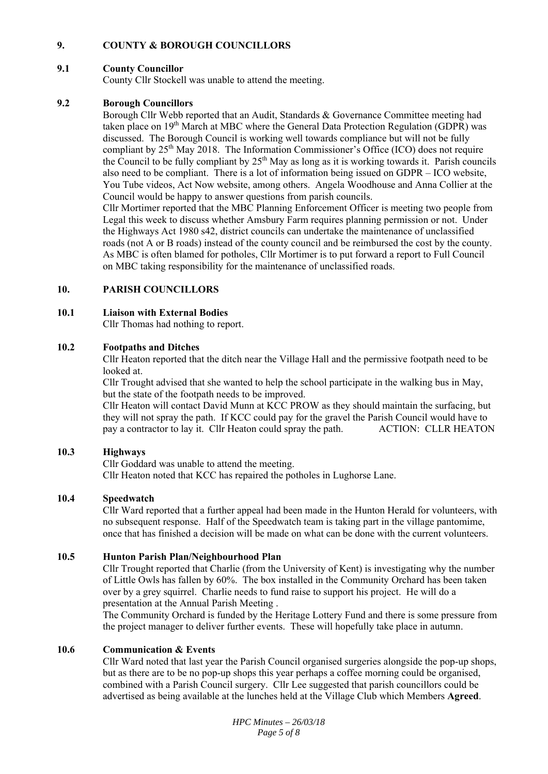#### **9. COUNTY & BOROUGH COUNCILLORS**

#### **9.1 County Councillor**

County Cllr Stockell was unable to attend the meeting.

#### **9.2 Borough Councillors**

Borough Cllr Webb reported that an Audit, Standards & Governance Committee meeting had taken place on  $19<sup>th</sup>$  March at MBC where the General Data Protection Regulation (GDPR) was discussed. The Borough Council is working well towards compliance but will not be fully compliant by 25<sup>th</sup> May 2018. The Information Commissioner's Office (ICO) does not require the Council to be fully compliant by  $25<sup>th</sup>$  May as long as it is working towards it. Parish councils also need to be compliant. There is a lot of information being issued on GDPR – ICO website, You Tube videos, Act Now website, among others. Angela Woodhouse and Anna Collier at the Council would be happy to answer questions from parish councils.

Cllr Mortimer reported that the MBC Planning Enforcement Officer is meeting two people from Legal this week to discuss whether Amsbury Farm requires planning permission or not. Under the Highways Act 1980 s42, district councils can undertake the maintenance of unclassified roads (not A or B roads) instead of the county council and be reimbursed the cost by the county. As MBC is often blamed for potholes, Cllr Mortimer is to put forward a report to Full Council on MBC taking responsibility for the maintenance of unclassified roads.

#### **10. PARISH COUNCILLORS**

#### **10.1 Liaison with External Bodies**

Cllr Thomas had nothing to report.

#### **10.2 Footpaths and Ditches**

Cllr Heaton reported that the ditch near the Village Hall and the permissive footpath need to be looked at.

Cllr Trought advised that she wanted to help the school participate in the walking bus in May, but the state of the footpath needs to be improved.

Cllr Heaton will contact David Munn at KCC PROW as they should maintain the surfacing, but they will not spray the path. If KCC could pay for the gravel the Parish Council would have to pay a contractor to lay it. Cllr Heaton could spray the path. ACTION: CLLR HEATON

#### **10.3 Highways**

Cllr Goddard was unable to attend the meeting. Cllr Heaton noted that KCC has repaired the potholes in Lughorse Lane.

#### **10.4 Speedwatch**

Cllr Ward reported that a further appeal had been made in the Hunton Herald for volunteers, with no subsequent response. Half of the Speedwatch team is taking part in the village pantomime, once that has finished a decision will be made on what can be done with the current volunteers.

#### **10.5 Hunton Parish Plan/Neighbourhood Plan**

Cllr Trought reported that Charlie (from the University of Kent) is investigating why the number of Little Owls has fallen by 60%. The box installed in the Community Orchard has been taken over by a grey squirrel. Charlie needs to fund raise to support his project. He will do a presentation at the Annual Parish Meeting .

The Community Orchard is funded by the Heritage Lottery Fund and there is some pressure from the project manager to deliver further events. These will hopefully take place in autumn.

#### **10.6 Communication & Events**

Cllr Ward noted that last year the Parish Council organised surgeries alongside the pop-up shops, but as there are to be no pop-up shops this year perhaps a coffee morning could be organised, combined with a Parish Council surgery. Cllr Lee suggested that parish councillors could be advertised as being available at the lunches held at the Village Club which Members **Agreed**.

> *HPC Minutes – 26/03/18 Page 5 of 8*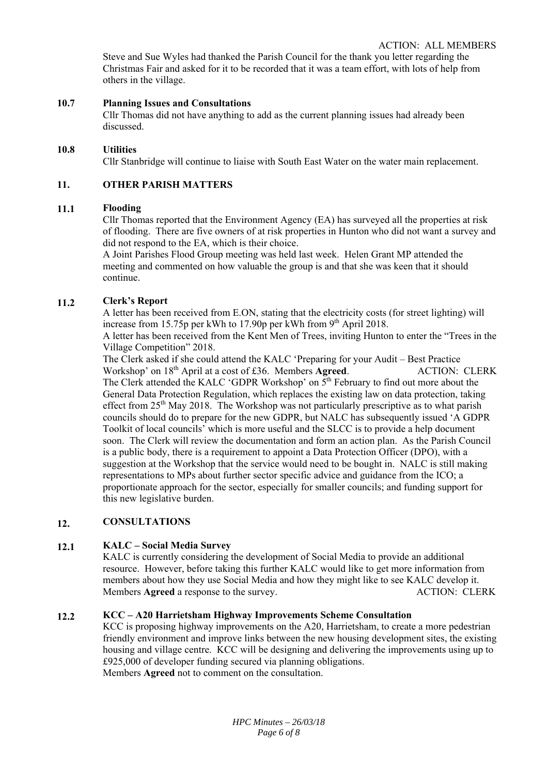Steve and Sue Wyles had thanked the Parish Council for the thank you letter regarding the Christmas Fair and asked for it to be recorded that it was a team effort, with lots of help from others in the village.

#### **10.7 Planning Issues and Consultations**

Cllr Thomas did not have anything to add as the current planning issues had already been discussed.

#### **10.8 Utilities**

Cllr Stanbridge will continue to liaise with South East Water on the water main replacement.

#### **11. OTHER PARISH MATTERS**

#### **11.1 Flooding**

Cllr Thomas reported that the Environment Agency (EA) has surveyed all the properties at risk of flooding. There are five owners of at risk properties in Hunton who did not want a survey and did not respond to the EA, which is their choice.

A Joint Parishes Flood Group meeting was held last week. Helen Grant MP attended the meeting and commented on how valuable the group is and that she was keen that it should continue.

#### **11.2 Clerk's Report**

A letter has been received from E.ON, stating that the electricity costs (for street lighting) will increase from 15.75p per kWh to 17.90p per kWh from  $9<sup>th</sup>$  April 2018.

A letter has been received from the Kent Men of Trees, inviting Hunton to enter the "Trees in the Village Competition" 2018.

The Clerk asked if she could attend the KALC 'Preparing for your Audit – Best Practice Workshop' on 18<sup>th</sup> April at a cost of £36. Members **Agreed.** ACTION: CLERK The Clerk attended the KALC 'GDPR Workshop' on  $\bar{5}^{th}$  February to find out more about the General Data Protection Regulation, which replaces the existing law on data protection, taking effect from  $25<sup>th</sup>$  May 2018. The Workshop was not particularly prescriptive as to what parish councils should do to prepare for the new GDPR, but NALC has subsequently issued 'A GDPR Toolkit of local councils' which is more useful and the SLCC is to provide a help document soon. The Clerk will review the documentation and form an action plan. As the Parish Council is a public body, there is a requirement to appoint a Data Protection Officer (DPO), with a suggestion at the Workshop that the service would need to be bought in. NALC is still making representations to MPs about further sector specific advice and guidance from the ICO; a proportionate approach for the sector, especially for smaller councils; and funding support for this new legislative burden.

#### **12. CONSULTATIONS**

#### **12.1 KALC – Social Media Survey**

KALC is currently considering the development of Social Media to provide an additional resource. However, before taking this further KALC would like to get more information from members about how they use Social Media and how they might like to see KALC develop it. Members **Agreed** a response to the survey. ACTION: CLERK

#### **12.2 KCC – A20 Harrietsham Highway Improvements Scheme Consultation**

KCC is proposing highway improvements on the A20, Harrietsham, to create a more pedestrian friendly environment and improve links between the new housing development sites, the existing housing and village centre. KCC will be designing and delivering the improvements using up to £925,000 of developer funding secured via planning obligations. Members **Agreed** not to comment on the consultation.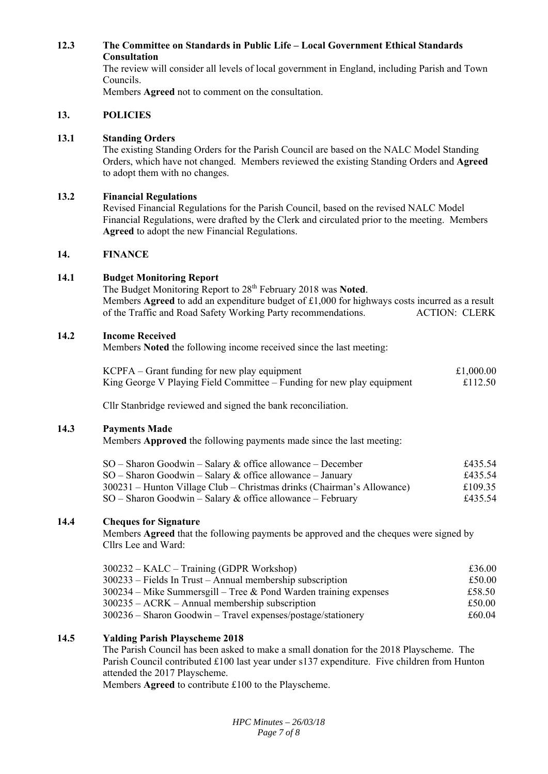### **12.3 The Committee on Standards in Public Life – Local Government Ethical Standards Consultation**

The review will consider all levels of local government in England, including Parish and Town Councils.

Members **Agreed** not to comment on the consultation.

#### **13. POLICIES**

#### **13.1 Standing Orders**

The existing Standing Orders for the Parish Council are based on the NALC Model Standing Orders, which have not changed. Members reviewed the existing Standing Orders and **Agreed** to adopt them with no changes.

#### **13.2 Financial Regulations**

Revised Financial Regulations for the Parish Council, based on the revised NALC Model Financial Regulations, were drafted by the Clerk and circulated prior to the meeting. Members **Agreed** to adopt the new Financial Regulations.

#### **14. FINANCE**

#### **14.1 Budget Monitoring Report**

The Budget Monitoring Report to 28th February 2018 was **Noted**. Members **Agreed** to add an expenditure budget of £1,000 for highways costs incurred as a result of the Traffic and Road Safety Working Party recommendations. ACTION: CLERK

#### **14.2 Income Received**

Members **Noted** the following income received since the last meeting:

| $KCPFA - Grant$ funding for new play equipment                         | £1,000.00 |
|------------------------------------------------------------------------|-----------|
| King George V Playing Field Committee – Funding for new play equipment | £112.50   |

Cllr Stanbridge reviewed and signed the bank reconciliation.

#### **14.3 Payments Made**

Members **Approved** the following payments made since the last meeting:

| $SO -$ Sharon Goodwin – Salary & office allowance – December           | £435.54 |
|------------------------------------------------------------------------|---------|
| $SO -$ Sharon Goodwin – Salary & office allowance – January            | £435.54 |
| 300231 – Hunton Village Club – Christmas drinks (Chairman's Allowance) | £109.35 |
| $SO -$ Sharon Goodwin – Salary & office allowance – February           | £435.54 |

#### **14.4 Cheques for Signature**

Members **Agreed** that the following payments be approved and the cheques were signed by Cllrs Lee and Ward:

| 300232 – KALC – Training (GDPR Workshop)                           | £36.00 |
|--------------------------------------------------------------------|--------|
| $300233$ – Fields In Trust – Annual membership subscription        | £50.00 |
| $300234 -$ Mike Summersgill – Tree & Pond Warden training expenses | £58.50 |
| $300235 - ACRK - Annual membership$ subscription                   | £50.00 |
| $300236$ – Sharon Goodwin – Travel expenses/postage/stationery     | £60.04 |

#### **14.5 Yalding Parish Playscheme 2018**

The Parish Council has been asked to make a small donation for the 2018 Playscheme. The Parish Council contributed £100 last year under s137 expenditure. Five children from Hunton attended the 2017 Playscheme.

Members **Agreed** to contribute £100 to the Playscheme.